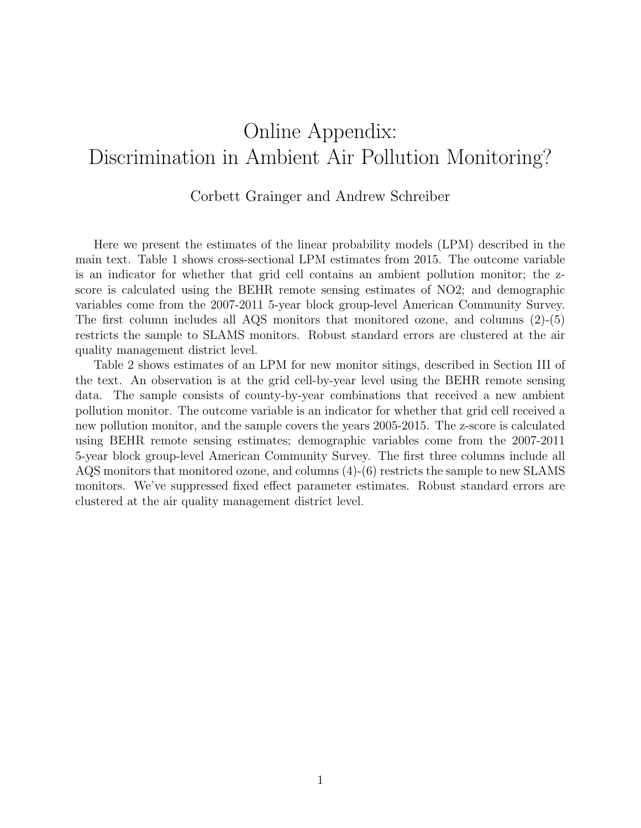## Online Appendix: Discrimination in Ambient Air Pollution Monitoring?

## Corbett Grainger and Andrew Schreiber

Here we present the estimates of the linear probability models (LPM) described in the main text. Table 1 shows cross-sectional LPM estimates from 2015. The outcome variable is an indicator for whether that grid cell contains an ambient pollution monitor; the zscore is calculated using the BEHR remote sensing estimates of NO2; and demographic variables come from the 2007-2011 5-year block group-level American Community Survey. The first column includes all AQS monitors that monitored ozone, and columns (2)-(5) restricts the sample to SLAMS monitors. Robust standard errors are clustered at the air quality management district level.

Table 2 shows estimates of an LPM for new monitor sitings, described in Section III of the text. An observation is at the grid cell-by-year level using the BEHR remote sensing data. The sample consists of county-by-year combinations that received a new ambient pollution monitor. The outcome variable is an indicator for whether that grid cell received a new pollution monitor, and the sample covers the years 2005-2015. The z-score is calculated using BEHR remote sensing estimates; demographic variables come from the 2007-2011 5-year block group-level American Community Survey. The first three columns include all AQS monitors that monitored ozone, and columns (4)-(6) restricts the sample to new SLAMS monitors. We've suppressed fixed effect parameter estimates. Robust standard errors are clustered at the air quality management district level.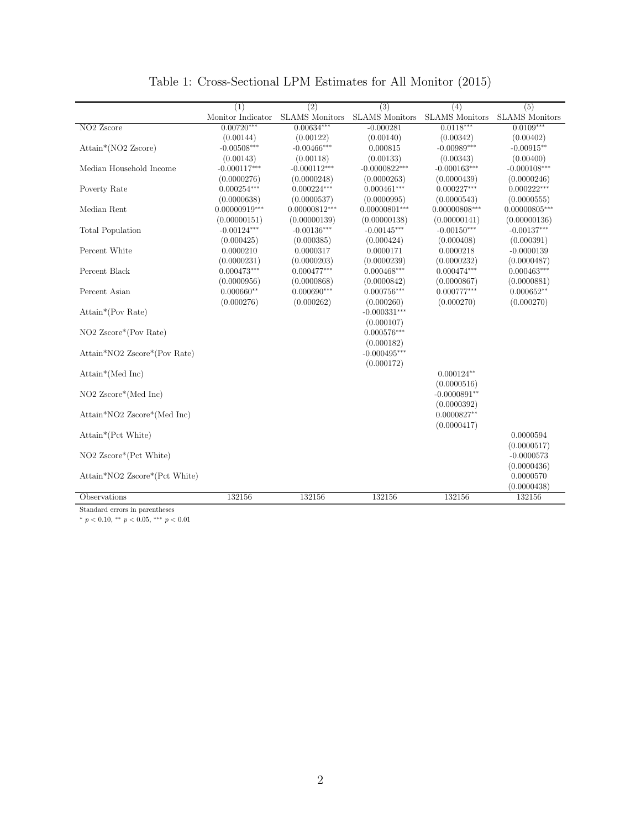|                                   | (1)               | $\overline{(2)}$      | $\overline{(3)}$      | (4)                       | $\overline{(5)}$      |
|-----------------------------------|-------------------|-----------------------|-----------------------|---------------------------|-----------------------|
|                                   | Monitor Indicator | <b>SLAMS</b> Monitors | <b>SLAMS</b> Monitors | <b>SLAMS</b> Monitors     | <b>SLAMS</b> Monitors |
| NO <sub>2</sub> Zscore            | $0.00720***$      | $0.00634***$          | $-0.000281$           | $0.0118***$               | $0.0109***$           |
|                                   | (0.00144)         | (0.00122)             | (0.00140)             | (0.00342)                 | (0.00402)             |
| $Attain*(NO2 Zscore)$             | $-0.00508***$     | $-0.00466***$         | 0.000815              | $-0.00989***$             | $-0.00915**$          |
|                                   | (0.00143)         | (0.00118)             | (0.00133)             | (0.00343)                 | (0.00400)             |
| Median Household Income           | $-0.000117***$    | $-0.000112***$        | $-0.0000822***$       | $-0.000163***$            | $-0.000108***$        |
|                                   | (0.0000276)       | (0.0000248)           | (0.0000263)           | (0.0000439)               | (0.0000246)           |
| Poverty Rate                      | $0.000254***$     | $0.000224***$         | $0.000461***$         | $0.000227***$             | $0.000222***$         |
|                                   | (0.0000638)       | (0.0000537)           | (0.0000995)           | (0.0000543)               | (0.0000555)           |
| Median Rent                       | $0.00000919***$   | $0.00000812***$       | $0.00000801***$       | $0.00000808***$           | $0.00000805***$       |
|                                   | (0.00000151)      | (0.00000139)          | (0.00000138)          | (0.00000141)              | (0.00000136)          |
| <b>Total Population</b>           | $-0.00124***$     | $-0.00136***$         | $-0.00145***$         | $-0.00150***$             | $-0.00137***$         |
|                                   | (0.000425)        | (0.000385)            | (0.000424)            | (0.000408)                | (0.000391)            |
| Percent White                     | 0.0000210         | 0.0000317             | 0.0000171             | 0.0000218                 | $-0.0000139$          |
|                                   | (0.0000231)       | (0.0000203)           | (0.0000239)           | (0.0000232)               | (0.0000487)           |
| Percent Black                     | $0.000473***$     | $0.000477***$         | $0.000468***$         | $0.000474^{\ast\ast\ast}$ | $0.000463***$         |
|                                   | (0.0000956)       | (0.0000868)           | (0.0000842)           | (0.0000867)               | (0.0000881)           |
| Percent Asian                     | $0.000660**$      | $0.000690***$         | $0.000756***$         | $0.000777***$             | $0.000652**$          |
|                                   | (0.000276)        | (0.000262)            | (0.000260)            | (0.000270)                | (0.000270)            |
| Attain*(Pov Rate)                 |                   |                       | $-0.000331***$        |                           |                       |
|                                   |                   |                       | (0.000107)            |                           |                       |
| NO <sub>2</sub> Zscore*(Pov Rate) |                   |                       | $0.000576***$         |                           |                       |
|                                   |                   |                       | (0.000182)            |                           |                       |
| Attain*NO2 Zscore*(Pov Rate)      |                   |                       | $-0.000495***$        |                           |                       |
|                                   |                   |                       | (0.000172)            | $0.000124**$              |                       |
| $Attain*(Med Inc)$                |                   |                       |                       | (0.0000516)               |                       |
| $NO2$ Zscore*(Med Inc)            |                   |                       |                       | $-0.0000891**$            |                       |
|                                   |                   |                       |                       | (0.0000392)               |                       |
| Attain*NO2 Zscore*(Med Inc)       |                   |                       |                       | $0.0000827**$             |                       |
|                                   |                   |                       |                       | (0.0000417)               |                       |
| Attain*(Pct White)                |                   |                       |                       |                           | 0.0000594             |
|                                   |                   |                       |                       |                           | (0.0000517)           |
| NO2 Zscore*(Pct White)            |                   |                       |                       |                           | $-0.0000573$          |
|                                   |                   |                       |                       |                           | (0.0000436)           |
| Attain*NO2 Zscore*(Pct White)     |                   |                       |                       |                           | 0.0000570             |
|                                   |                   |                       |                       |                           | (0.0000438)           |
| Observations                      | 132156            | 132156                | 132156                | 132156                    | 132156                |

## Table 1: Cross-Sectional LPM Estimates for All Monitor (2015)

Standard errors in parentheses

 $^{*}$   $p$   $<$  0.10,  $^{**}$   $p$   $<$  0.05,  $^{***}$   $p$   $<$  0.01  $\,$